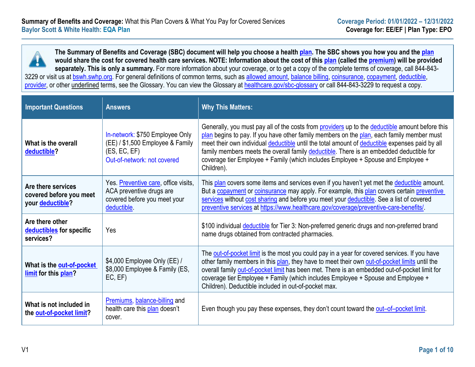**The Summary of Benefits and Coverage (SBC) document will help you choose a healt[h plan.](https://www.healthcare.gov/sbc-glossary/#plan) The SBC shows you how you and the [plan](https://www.healthcare.gov/sbc-glossary/#plan) would share the cost for covered health care services. NOTE: Information about the cost of this [plan](https://www.healthcare.gov/sbc-glossary/#plan) (called the [premium\)](https://www.healthcare.gov/sbc-glossary/#premium) will be provided separately. This is only a summary.** For more information about your coverage, or to get a copy of the complete terms of coverage, call 844-843 3229 or visit us at [bswh.swhp.org.](https://bswh.swhp.org/) For general definitions of common terms, such as [allowed amount,](https://www.healthcare.gov/sbc-glossary/#allowed-amount) [balance billing,](https://www.healthcare.gov/sbc-glossary/#balance-billing) [coinsurance,](https://www.healthcare.gov/sbc-glossary/#coinsurance) [copayment,](https://www.healthcare.gov/sbc-glossary/#copayment) [deductible,](https://www.healthcare.gov/sbc-glossary/#deductible) [provider,](https://www.healthcare.gov/sbc-glossary/#provider) or other underlined terms, see the Glossary. You can view the Glossary at [healthcare.gov/sbc-glossary](https://www.healthcare.gov/sbc-glossary) or call 844-843-3229 to request a copy.

| <b>Important Questions</b>                                                | <b>Answers</b>                                                                                                     | <b>Why This Matters:</b>                                                                                                                                                                                                                                                                                                                                                                                                                                                                    |
|---------------------------------------------------------------------------|--------------------------------------------------------------------------------------------------------------------|---------------------------------------------------------------------------------------------------------------------------------------------------------------------------------------------------------------------------------------------------------------------------------------------------------------------------------------------------------------------------------------------------------------------------------------------------------------------------------------------|
| What is the overall<br>deductible?                                        | In-network: \$750 Employee Only<br>(EE) / \$1,500 Employee & Family<br>(ES, EC, EF)<br>Out-of-network: not covered | Generally, you must pay all of the costs from providers up to the deductible amount before this<br>plan begins to pay. If you have other family members on the plan, each family member must<br>meet their own individual deductible until the total amount of deductible expenses paid by all<br>family members meets the overall family deductible. There is an embedded deductible for<br>coverage tier Employee + Family (which includes Employee + Spouse and Employee +<br>Children). |
| Are there services<br>covered before you meet<br>your <b>deductible</b> ? | Yes. Preventive care, office visits,<br>ACA preventive drugs are<br>covered before you meet your<br>deductible.    | This plan covers some items and services even if you haven't yet met the deductible amount.<br>But a copayment or coinsurance may apply. For example, this plan covers certain preventive<br>services without cost sharing and before you meet your deductible. See a list of covered<br>preventive services at https://www.healthcare.gov/coverage/preventive-care-benefits/                                                                                                               |
| Are there other<br>deductibles for specific<br>services?                  | Yes                                                                                                                | \$100 individual deductible for Tier 3: Non-preferred generic drugs and non-preferred brand<br>name drugs obtained from contracted pharmacies.                                                                                                                                                                                                                                                                                                                                              |
| What is the <b>out-of-pocket</b><br>limit for this plan?                  | \$4,000 Employee Only (EE) /<br>\$8,000 Employee & Family (ES,<br>EC, EF                                           | The out-of-pocket limit is the most you could pay in a year for covered services. If you have<br>other family members in this plan, they have to meet their own out-of-pocket limits until the<br>overall family out-of-pocket limit has been met. There is an embedded out-of-pocket limit for<br>coverage tier Employee + Family (which includes Employee + Spouse and Employee +<br>Children). Deductible included in out-of-pocket max.                                                 |
| What is not included in<br>the out-of-pocket limit?                       | Premiums, balance-billing and<br>health care this plan doesn't<br>cover.                                           | Even though you pay these expenses, they don't count toward the out-of-pocket limit.                                                                                                                                                                                                                                                                                                                                                                                                        |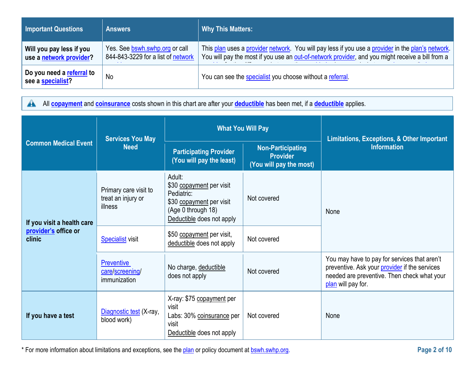| <b>Important Questions</b>                          | <b>Answers</b>                                                       | <b>Why This Matters:</b>                                                                                                                                                                              |
|-----------------------------------------------------|----------------------------------------------------------------------|-------------------------------------------------------------------------------------------------------------------------------------------------------------------------------------------------------|
| Will you pay less if you<br>use a network provider? | Yes. See bswh.swhp.org or call<br>844-843-3229 for a list of network | This plan uses a provider network. You will pay less if you use a provider in the plan's network.<br>You will pay the most if you use an out-of-network provider, and you might receive a bill from a |
| Do you need a referral to<br>see a specialist?      | No                                                                   | You can see the specialist you choose without a referral.                                                                                                                                             |

All **[copayment](https://www.healthcare.gov/sbc-glossary/#copayment)** and **[coinsurance](https://www.healthcare.gov/sbc-glossary/#coinsurance)** costs shown in this chart are after your **[deductible](https://www.healthcare.gov/sbc-glossary/#deductible)** has been met, if a **[deductible](https://www.healthcare.gov/sbc-glossary/#deductible)** applies.  $\blacktriangle$ 

|                                                              | <b>Services You May</b>                                | <b>What You Will Pay</b>                                                                                                        |                                                                        | Limitations, Exceptions, & Other Important                                                                                                                         |  |
|--------------------------------------------------------------|--------------------------------------------------------|---------------------------------------------------------------------------------------------------------------------------------|------------------------------------------------------------------------|--------------------------------------------------------------------------------------------------------------------------------------------------------------------|--|
| <b>Common Medical Event</b>                                  | <b>Need</b>                                            | <b>Participating Provider</b><br>(You will pay the least)                                                                       | <b>Non-Participating</b><br><b>Provider</b><br>(You will pay the most) | <b>Information</b>                                                                                                                                                 |  |
| If you visit a health care<br>provider's office or<br>clinic | Primary care visit to<br>treat an injury or<br>illness | Adult:<br>\$30 copayment per visit<br>Pediatric:<br>\$30 copayment per visit<br>(Age 0 through 18)<br>Deductible does not apply | Not covered                                                            | None                                                                                                                                                               |  |
|                                                              | <b>Specialist</b> visit                                | \$50 copayment per visit,<br>deductible does not apply                                                                          | Not covered                                                            |                                                                                                                                                                    |  |
|                                                              | <b>Preventive</b><br>care/screening/<br>immunization   | No charge, deductible<br>does not apply                                                                                         | Not covered                                                            | You may have to pay for services that aren't<br>preventive. Ask your provider if the services<br>needed are preventive. Then check what your<br>plan will pay for. |  |
| If you have a test                                           | Diagnostic test (X-ray,<br>blood work)                 | X-ray: \$75 copayment per<br>visit<br>Labs: 30% coinsurance per<br>visit<br>Deductible does not apply                           | Not covered                                                            | None                                                                                                                                                               |  |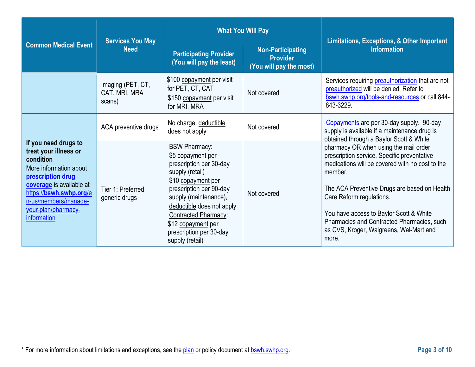|                                                                                                                                                                                                                                | <b>Services You May</b>                      |                                                                                                                                                                                                                                                                                            | <b>What You Will Pay</b>                                               | <b>Limitations, Exceptions, &amp; Other Important</b>                                                                                                                                                                                                                                                                                                                       |  |
|--------------------------------------------------------------------------------------------------------------------------------------------------------------------------------------------------------------------------------|----------------------------------------------|--------------------------------------------------------------------------------------------------------------------------------------------------------------------------------------------------------------------------------------------------------------------------------------------|------------------------------------------------------------------------|-----------------------------------------------------------------------------------------------------------------------------------------------------------------------------------------------------------------------------------------------------------------------------------------------------------------------------------------------------------------------------|--|
| <b>Common Medical Event</b>                                                                                                                                                                                                    | <b>Need</b>                                  | <b>Participating Provider</b><br>(You will pay the least)                                                                                                                                                                                                                                  | <b>Non-Participating</b><br><b>Provider</b><br>(You will pay the most) | <b>Information</b>                                                                                                                                                                                                                                                                                                                                                          |  |
|                                                                                                                                                                                                                                | Imaging (PET, CT,<br>CAT, MRI, MRA<br>scans) | \$100 copayment per visit<br>for PET, CT, CAT<br>\$150 copayment per visit<br>for MRI, MRA                                                                                                                                                                                                 | Not covered                                                            | Services requiring preauthorization that are not<br>preauthorized will be denied. Refer to<br>bswh.swhp.org/tools-and-resources or call 844-<br>843-3229.                                                                                                                                                                                                                   |  |
|                                                                                                                                                                                                                                | ACA preventive drugs                         | No charge, deductible<br>does not apply                                                                                                                                                                                                                                                    | Not covered                                                            | Copayments are per 30-day supply. 90-day<br>supply is available if a maintenance drug is<br>obtained through a Baylor Scott & White                                                                                                                                                                                                                                         |  |
| If you need drugs to<br>treat your illness or<br>condition<br>More information about<br>prescription drug<br>coverage is available at<br>https://bswh.swhp.org/e<br>n-us/members/manage-<br>your-plan/pharmacy-<br>information | Tier 1: Preferred<br>generic drugs           | <b>BSW Pharmacy:</b><br>\$5 copayment per<br>prescription per 30-day<br>supply (retail)<br>\$10 copayment per<br>prescription per 90-day<br>supply (maintenance),<br>deductible does not apply<br>Contracted Pharmacy:<br>\$12 copayment per<br>prescription per 30-day<br>supply (retail) | Not covered                                                            | pharmacy OR when using the mail order<br>prescription service. Specific preventative<br>medications will be covered with no cost to the<br>member.<br>The ACA Preventive Drugs are based on Health<br>Care Reform regulations.<br>You have access to Baylor Scott & White<br>Pharmacies and Contracted Pharmacies, such<br>as CVS, Kroger, Walgreens, Wal-Mart and<br>more. |  |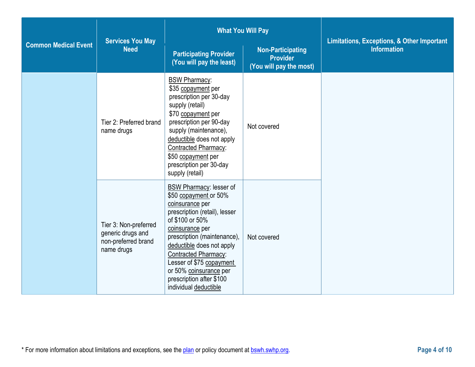|                             | <b>Services You May</b>                                                         |                                                                                                                                                                                                                                                                                                                                                  | <b>What You Will Pay</b>                                               | <b>Limitations, Exceptions, &amp; Other Important</b> |
|-----------------------------|---------------------------------------------------------------------------------|--------------------------------------------------------------------------------------------------------------------------------------------------------------------------------------------------------------------------------------------------------------------------------------------------------------------------------------------------|------------------------------------------------------------------------|-------------------------------------------------------|
| <b>Common Medical Event</b> | <b>Need</b>                                                                     | <b>Participating Provider</b><br>(You will pay the least)                                                                                                                                                                                                                                                                                        | <b>Non-Participating</b><br><b>Provider</b><br>(You will pay the most) | <b>Information</b>                                    |
|                             | Tier 2: Preferred brand<br>name drugs                                           | <b>BSW Pharmacy:</b><br>\$35 copayment per<br>prescription per 30-day<br>supply (retail)<br>\$70 copayment per<br>prescription per 90-day<br>supply (maintenance),<br>deductible does not apply<br><b>Contracted Pharmacy:</b><br>\$50 copayment per<br>prescription per 30-day<br>supply (retail)                                               | Not covered                                                            |                                                       |
|                             | Tier 3: Non-preferred<br>generic drugs and<br>non-preferred brand<br>name drugs | <b>BSW Pharmacy: lesser of</b><br>\$50 copayment or 50%<br>coinsurance per<br>prescription (retail), lesser<br>of \$100 or 50%<br>coinsurance per<br>prescription (maintenance),<br>deductible does not apply<br>Contracted Pharmacy:<br>Lesser of \$75 copayment<br>or 50% coinsurance per<br>prescription after \$100<br>individual deductible | Not covered                                                            |                                                       |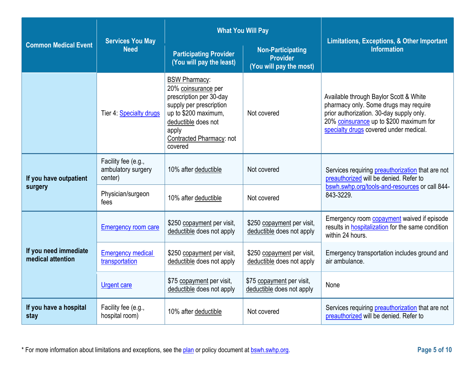|                                            | <b>Services You May</b>                              |                                                                                                                                                                                                  | <b>What You Will Pay</b>                                               | <b>Limitations, Exceptions, &amp; Other Important</b>                                                                                                                                                            |  |
|--------------------------------------------|------------------------------------------------------|--------------------------------------------------------------------------------------------------------------------------------------------------------------------------------------------------|------------------------------------------------------------------------|------------------------------------------------------------------------------------------------------------------------------------------------------------------------------------------------------------------|--|
| <b>Common Medical Event</b>                | <b>Need</b>                                          | <b>Participating Provider</b><br>(You will pay the least)                                                                                                                                        | <b>Non-Participating</b><br><b>Provider</b><br>(You will pay the most) | <b>Information</b>                                                                                                                                                                                               |  |
|                                            | Tier 4: Specialty drugs                              | <b>BSW Pharmacy:</b><br>20% coinsurance per<br>prescription per 30-day<br>supply per prescription<br>up to \$200 maximum,<br>deductible does not<br>apply<br>Contracted Pharmacy: not<br>covered | Not covered                                                            | Available through Baylor Scott & White<br>pharmacy only. Some drugs may require<br>prior authorization. 30-day supply only.<br>20% coinsurance up to \$200 maximum for<br>specialty drugs covered under medical. |  |
| If you have outpatient<br>surgery          | Facility fee (e.g.,<br>ambulatory surgery<br>center) | 10% after deductible                                                                                                                                                                             | Not covered                                                            | Services requiring preauthorization that are not<br>preauthorized will be denied. Refer to                                                                                                                       |  |
|                                            | Physician/surgeon<br>fees                            | 10% after deductible                                                                                                                                                                             | Not covered                                                            | bswh.swhp.org/tools-and-resources or call 844-<br>843-3229.                                                                                                                                                      |  |
|                                            | <b>Emergency room care</b>                           | \$250 copayment per visit,<br>deductible does not apply                                                                                                                                          | \$250 copayment per visit,<br>deductible does not apply                | Emergency room <b>copayment</b> waived if episode<br>results in hospitalization for the same condition<br>within 24 hours.                                                                                       |  |
| If you need immediate<br>medical attention | <b>Emergency medical</b><br>transportation           | \$250 copayment per visit,<br>deductible does not apply                                                                                                                                          | \$250 copayment per visit,<br>deductible does not apply                | Emergency transportation includes ground and<br>air ambulance.                                                                                                                                                   |  |
|                                            | <b>Urgent care</b>                                   | \$75 copayment per visit,<br>deductible does not apply                                                                                                                                           | \$75 copayment per visit,<br>deductible does not apply                 | None                                                                                                                                                                                                             |  |
| If you have a hospital<br>stay             | Facility fee (e.g.,<br>hospital room)                | 10% after deductible                                                                                                                                                                             | Not covered                                                            | Services requiring preauthorization that are not<br>preauthorized will be denied. Refer to                                                                                                                       |  |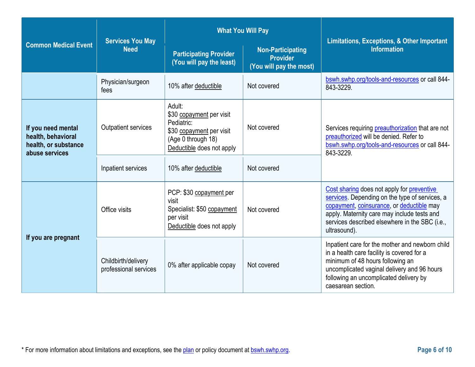|                                                                                    | <b>Services You May</b>                      |                                                                                                                                 | <b>What You Will Pay</b>                                               | <b>Limitations, Exceptions, &amp; Other Important</b>                                                                                                                                                                                                      |  |
|------------------------------------------------------------------------------------|----------------------------------------------|---------------------------------------------------------------------------------------------------------------------------------|------------------------------------------------------------------------|------------------------------------------------------------------------------------------------------------------------------------------------------------------------------------------------------------------------------------------------------------|--|
| <b>Common Medical Event</b>                                                        | <b>Need</b>                                  | <b>Participating Provider</b><br>(You will pay the least)                                                                       | <b>Non-Participating</b><br><b>Provider</b><br>(You will pay the most) | <b>Information</b>                                                                                                                                                                                                                                         |  |
|                                                                                    | Physician/surgeon<br>fees                    | 10% after deductible                                                                                                            | Not covered                                                            | bswh.swhp.org/tools-and-resources or call 844-<br>843-3229.                                                                                                                                                                                                |  |
| If you need mental<br>health, behavioral<br>health, or substance<br>abuse services | Outpatient services                          | Adult:<br>\$30 copayment per visit<br>Pediatric:<br>\$30 copayment per visit<br>(Age 0 through 18)<br>Deductible does not apply | Not covered                                                            | Services requiring preauthorization that are not<br>preauthorized will be denied. Refer to<br>bswh.swhp.org/tools-and-resources or call 844-<br>843-3229.                                                                                                  |  |
|                                                                                    | Inpatient services                           | 10% after deductible                                                                                                            | Not covered                                                            |                                                                                                                                                                                                                                                            |  |
| If you are pregnant                                                                | Office visits                                | PCP: \$30 copayment per<br>visit<br>Specialist: \$50 copayment<br>per visit<br>Deductible does not apply                        | Not covered                                                            | Cost sharing does not apply for preventive<br>services. Depending on the type of services, a<br>copayment, coinsurance, or deductible may<br>apply. Maternity care may include tests and<br>services described elsewhere in the SBC (i.e.,<br>ultrasound). |  |
|                                                                                    | Childbirth/delivery<br>professional services | 0% after applicable copay                                                                                                       | Not covered                                                            | Inpatient care for the mother and newborn child<br>in a health care facility is covered for a<br>minimum of 48 hours following an<br>uncomplicated vaginal delivery and 96 hours<br>following an uncomplicated delivery by<br>caesarean section.           |  |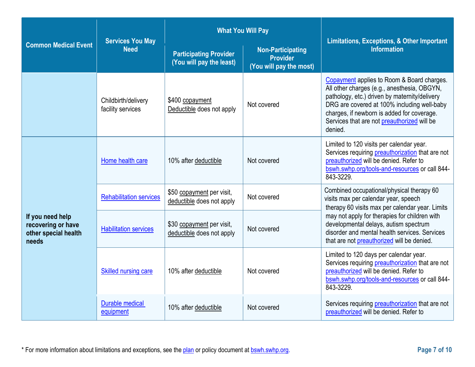|                                                                         | <b>Services You May</b>                  |                                                           | <b>What You Will Pay</b>                                               | <b>Limitations, Exceptions, &amp; Other Important</b><br><b>Information</b>                                                                                                                                                                                                                       |  |
|-------------------------------------------------------------------------|------------------------------------------|-----------------------------------------------------------|------------------------------------------------------------------------|---------------------------------------------------------------------------------------------------------------------------------------------------------------------------------------------------------------------------------------------------------------------------------------------------|--|
| <b>Common Medical Event</b>                                             | <b>Need</b>                              | <b>Participating Provider</b><br>(You will pay the least) | <b>Non-Participating</b><br><b>Provider</b><br>(You will pay the most) |                                                                                                                                                                                                                                                                                                   |  |
|                                                                         | Childbirth/delivery<br>facility services | \$400 copayment<br>Deductible does not apply              | Not covered                                                            | Copayment applies to Room & Board charges.<br>All other charges (e.g., anesthesia, OBGYN,<br>pathology, etc.) driven by maternity/delivery<br>DRG are covered at 100% including well-baby<br>charges, if newborn is added for coverage.<br>Services that are not preauthorized will be<br>denied. |  |
| If you need help<br>recovering or have<br>other special health<br>needs | Home health care                         | 10% after deductible                                      | Not covered                                                            | Limited to 120 visits per calendar year.<br>Services requiring preauthorization that are not<br>preauthorized will be denied. Refer to<br>bswh.swhp.org/tools-and-resources or call 844-<br>843-3229.                                                                                             |  |
|                                                                         | <b>Rehabilitation services</b>           | \$50 copayment per visit,<br>deductible does not apply    | Not covered                                                            | Combined occupational/physical therapy 60<br>visits max per calendar year, speech<br>therapy 60 visits max per calendar year. Limits                                                                                                                                                              |  |
|                                                                         | <b>Habilitation services</b>             | \$30 copayment per visit,<br>deductible does not apply    | Not covered                                                            | may not apply for therapies for children with<br>developmental delays, autism spectrum<br>disorder and mental health services. Services<br>that are not preauthorized will be denied.                                                                                                             |  |
|                                                                         | <b>Skilled nursing care</b>              | 10% after deductible                                      | Not covered                                                            | Limited to 120 days per calendar year.<br>Services requiring preauthorization that are not<br>preauthorized will be denied. Refer to<br>bswh.swhp.org/tools-and-resources or call 844-<br>843-3229.                                                                                               |  |
|                                                                         | <b>Durable medical</b><br>equipment      | 10% after deductible                                      | Not covered                                                            | Services requiring preauthorization that are not<br>preauthorized will be denied. Refer to                                                                                                                                                                                                        |  |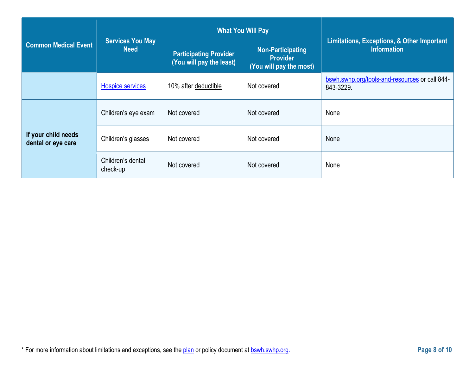|                                           | <b>Services You May</b>       |                                                           | <b>What You Will Pay</b>                                               | <b>Limitations, Exceptions, &amp; Other Important</b>       |
|-------------------------------------------|-------------------------------|-----------------------------------------------------------|------------------------------------------------------------------------|-------------------------------------------------------------|
| <b>Common Medical Event</b>               | <b>Need</b>                   | <b>Participating Provider</b><br>(You will pay the least) | <b>Non-Participating</b><br><b>Provider</b><br>(You will pay the most) | <b>Information</b>                                          |
|                                           | <b>Hospice services</b>       | 10% after deductible                                      | Not covered                                                            | bswh.swhp.org/tools-and-resources or call 844-<br>843-3229. |
|                                           | Children's eye exam           | Not covered                                               | Not covered                                                            | None                                                        |
| If your child needs<br>dental or eye care | Children's glasses            | Not covered                                               | Not covered                                                            | None                                                        |
|                                           | Children's dental<br>check-up | Not covered                                               | Not covered                                                            | None                                                        |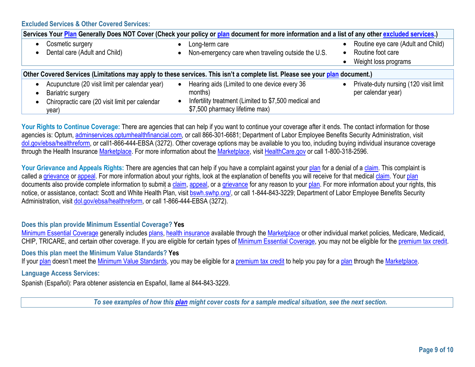**Excluded Services & Other Covered Services:** 

| Services Your Plan Generally Does NOT Cover (Check your policy or plan document for more information and a list of any other excluded services.) |                        |                                                                                                                                                    |  |                                                                                 |  |  |
|--------------------------------------------------------------------------------------------------------------------------------------------------|------------------------|----------------------------------------------------------------------------------------------------------------------------------------------------|--|---------------------------------------------------------------------------------|--|--|
| Cosmetic surgery<br>Dental care (Adult and Child)                                                                                                | $\bullet$<br>$\bullet$ | Long-term care<br>Non-emergency care when traveling outside the U.S.                                                                               |  | Routine eye care (Adult and Child)<br>Routine foot care<br>Weight loss programs |  |  |
| Other Covered Services (Limitations may apply to these services. This isn't a complete list. Please see your plan document.)                     |                        |                                                                                                                                                    |  |                                                                                 |  |  |
| Acupuncture (20 visit limit per calendar year)<br>Bariatric surgery<br>Chiropractic care (20 visit limit per calendar<br>year)                   | $\bullet$              | Hearing aids (Limited to one device every 36<br>months)<br>Infertility treatment (Limited to \$7,500 medical and<br>\$7,500 pharmacy lifetime max) |  | Private-duty nursing (120 visit limit<br>per calendar year)                     |  |  |

Your Rights to Continue Coverage: There are agencies that can help if you want to continue your coverage after it ends. The contact information for those agencies is: Optum[, adminservices.optumhealthfinancial.com, o](http://www.adminservices.optumhealthfinancial.com/)r call 866-301-6681; Department of Labor Employee Benefits Security Administration, visit [dol.gov/ebsa/healthreform,](http://www.dol.gov/ebsa/healthreform) or call1-866-444-EBSA (3272). Other coverage options may be available to you too, including buying individual insurance coverage through the Health Insurance [Marketplace. F](https://www.healthcare.gov/sbc-glossary/#marketplace)or more information about the [Marketplace, v](https://www.healthcare.gov/sbc-glossary/#marketplace)isit [HealthCare.gov](http://www.healthcare.gov/) or call 1-800-318-2596.

Your Grievance and Appeals Rights: There are agencies that can help if you have a complaint against you[r plan](https://www.healthcare.gov/sbc-glossary/#plan) for a denial of a [claim.](https://www.healthcare.gov/sbc-glossary/#claim) This complaint is called [a grievance](https://www.healthcare.gov/sbc-glossary/#grievance) or [appeal. F](https://www.healthcare.gov/sbc-glossary/#appeal)or more information about your rights, look at the explanation of benefits you will receive for that medical [claim.](https://www.healthcare.gov/sbc-glossary/#claim) Your [plan](https://www.healthcare.gov/sbc-glossary/#plan) documents also provide complete information to submit a [claim,](https://www.healthcare.gov/sbc-glossary/#claim) [appeal, o](https://www.healthcare.gov/sbc-glossary/#appeal)r a [grievance](https://www.healthcare.gov/sbc-glossary/#grievance) for any reason to you[r plan. F](https://www.healthcare.gov/sbc-glossary/#plan)or more information about your rights, this notice, or assistance, contact: Scott and White Health Plan, visit bswh.swhp.org/, or call 1-844-843-3229; Department of Labor Employee Benefits Security Administration, visit [dol.gov/ebsa/healthreform,](http://www.dol.gov/ebsa/healthreform) or call 1-866-444-EBSA (3272).

### **Does this plan provide Minimum Essential Coverage? Yes**

[Minimum Essential Coverage](https://www.healthcare.gov/sbc-glossary/#minimum-essential-coverage) generally includes [plans,](https://www.healthcare.gov/sbc-glossary/#plan) [health insurance](https://www.healthcare.gov/sbc-glossary/#health-insurance) available through the [Marketplace](https://www.healthcare.gov/sbc-glossary/#marketplace) or other individual market policies, Medicare, Medicaid, CHIP, TRICARE, and certain other coverage. If you are eligible for certain types of [Minimum Essential Coverage,](https://www.healthcare.gov/sbc-glossary/#minimum-essential-coverage) you may not be eligible for the [premium tax credit.](https://www.healthcare.gov/sbc-glossary/#premium-tax-credits)

#### **Does this plan meet the Minimum Value Standards? Yes**

If your [plan](https://www.healthcare.gov/sbc-glossary/#plan) doesn't meet the [Minimum Value Standards,](https://www.healthcare.gov/sbc-glossary/#minimum-value-standard) you may be eligible for a [premium tax credit](https://www.healthcare.gov/sbc-glossary/#premium-tax-credits) to help you pay for a plan through the [Marketplace.](https://www.healthcare.gov/sbc-glossary/#marketplace)

### **Language Access Services:**

Spanish (Español): Para obtener asistencia en Español, llame al 844-843-3229.

*To see examples of how this [plan](https://www.healthcare.gov/sbc-glossary/#plan) might cover costs for a sample medical situation, see the next section.*